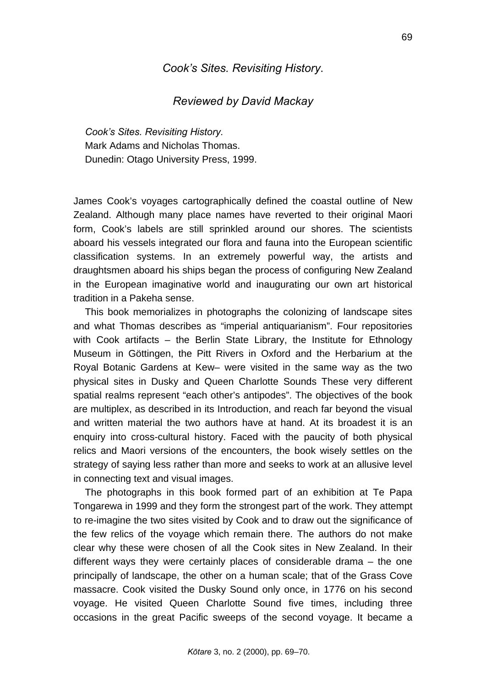## *Cook's Sites. Revisiting History*.

## *Reviewed by David Mackay*

*Cook's Sites. Revisiting History.*  Mark Adams and Nicholas Thomas. Dunedin: Otago University Press, 1999.

James Cook's voyages cartographically defined the coastal outline of New Zealand. Although many place names have reverted to their original Maori form, Cook's labels are still sprinkled around our shores. The scientists aboard his vessels integrated our flora and fauna into the European scientific classification systems. In an extremely powerful way, the artists and draughtsmen aboard his ships began the process of configuring New Zealand in the European imaginative world and inaugurating our own art historical tradition in a Pakeha sense.

This book memorializes in photographs the colonizing of landscape sites and what Thomas describes as "imperial antiquarianism". Four repositories with Cook artifacts – the Berlin State Library, the Institute for Ethnology Museum in Göttingen, the Pitt Rivers in Oxford and the Herbarium at the Royal Botanic Gardens at Kew– were visited in the same way as the two physical sites in Dusky and Queen Charlotte Sounds These very different spatial realms represent "each other's antipodes". The objectives of the book are multiplex, as described in its Introduction, and reach far beyond the visual and written material the two authors have at hand. At its broadest it is an enquiry into cross-cultural history. Faced with the paucity of both physical relics and Maori versions of the encounters, the book wisely settles on the strategy of saying less rather than more and seeks to work at an allusive level in connecting text and visual images.

The photographs in this book formed part of an exhibition at Te Papa Tongarewa in 1999 and they form the strongest part of the work. They attempt to re-imagine the two sites visited by Cook and to draw out the significance of the few relics of the voyage which remain there. The authors do not make clear why these were chosen of all the Cook sites in New Zealand. In their different ways they were certainly places of considerable drama – the one principally of landscape, the other on a human scale; that of the Grass Cove massacre. Cook visited the Dusky Sound only once, in 1776 on his second voyage. He visited Queen Charlotte Sound five times, including three occasions in the great Pacific sweeps of the second voyage. It became a